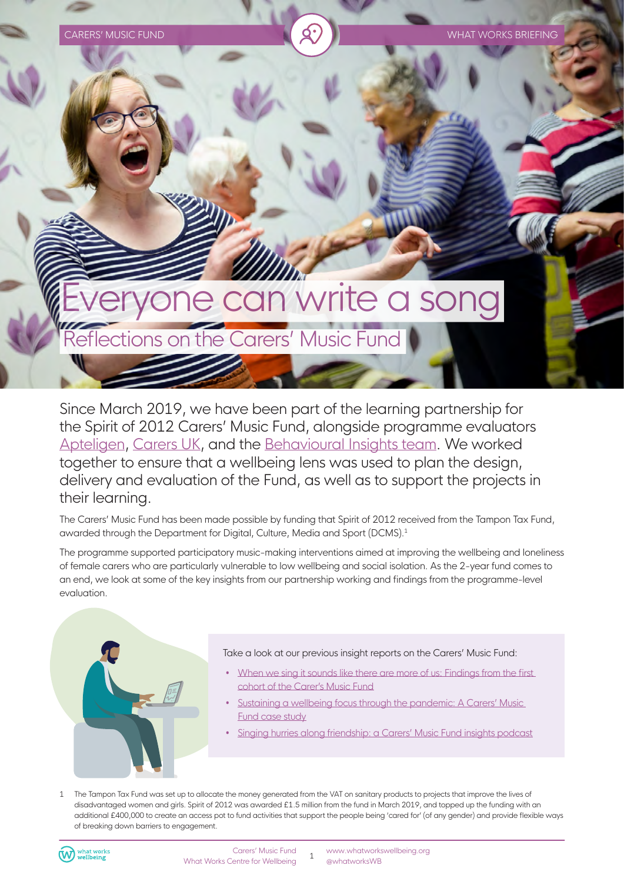

Since March 2019, we have been part of the learning partnership for the Spirit of 2012 Carers' Music Fund, alongside programme evaluators [Apteligen,](www.apteligen.co.uk/) [Carers UK](https://www.carersuk.org/), and the [Behavioural Insights team](https://www.bi.team/). We worked together to ensure that a wellbeing lens was used to plan the design, delivery and evaluation of the Fund, as well as to support the projects in their learning.

The Carers' Music Fund has been made possible by funding that Spirit of 2012 received from the Tampon Tax Fund, awarded through the Department for Digital, Culture, Media and Sport (DCMS).1

The programme supported participatory music-making interventions aimed at improving the wellbeing and loneliness of female carers who are particularly vulnerable to low wellbeing and social isolation. As the 2-year fund comes to an end, we look at some of the key insights from our partnership working and findings from the programme-level evaluation.



### Take a look at our previous insight reports on the Carers' Music Fund:

- When we sing it sounds like there are more of us: Findings from the first [cohort of the Carer's Music Fund](https://whatworkswellbeing.org/resources/when-we-sing-it-sounds-like-there-are-more-of-us-findings-from-the-first-cohort-of-the-carers-music-fund/)
- Sustaining a wellbeing focus through the pandemic: A Carers' Music [Fund case study](https://whatworkswellbeing.org/practice-examples/sustaining-a-wellbeing-focus-through-the-pandemic/)
- [Singing hurries along friendship: a Carers' Music Fund insights podcast](https://whatworkswellbeing.org/blog/singing-hurries-along-friendship-a-carers-music-fund-insights-podcast/)

1 The Tampon Tax Fund was set up to allocate the money generated from the VAT on sanitary products to projects that improve the lives of disadvantaged women and girls. Spirit of 2012 was awarded £1.5 million from the fund in March 2019, and topped up the funding with an additional £400,000 to create an access pot to fund activities that support the people being 'cared for' (of any gender) and provide flexible ways of breaking down barriers to engagement.

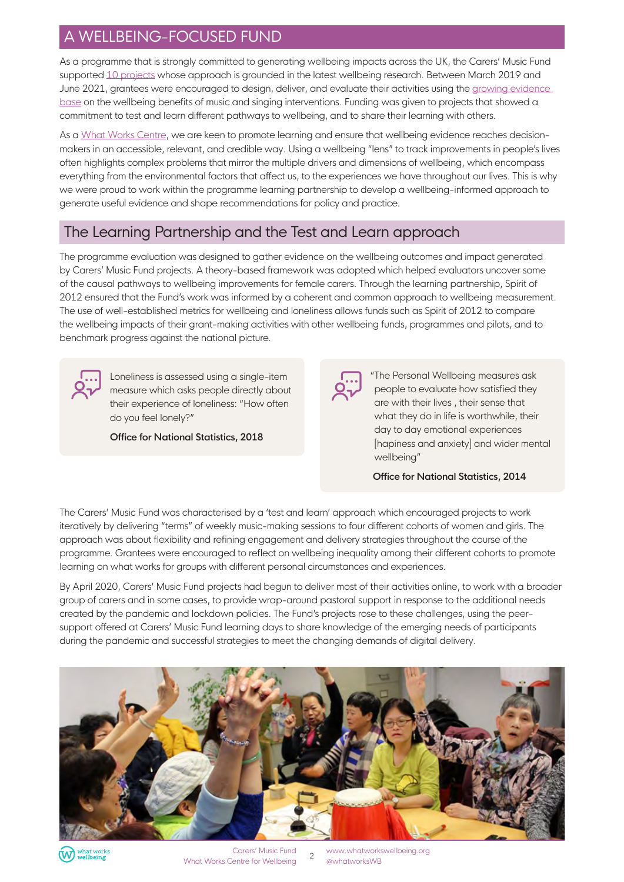# A WELLBEING-FOCUSED FUND

As a programme that is strongly committed to generating wellbeing impacts across the UK, the Carers' Music Fund supported [10 projects](https://spiritof2012.org.uk/carers-music-fund-0) whose approach is grounded in the latest wellbeing research. Between March 2019 and June 2021, grantees were encouraged to design, deliver, and evaluate their activities using the [growing evidence](https://whatworkswellbeing.org/category/culture-arts-and-sport/)  [base](https://whatworkswellbeing.org/category/culture-arts-and-sport/) on the wellbeing benefits of music and singing interventions. Funding was given to projects that showed a commitment to test and learn different pathways to wellbeing, and to share their learning with others.

As a [What Works Centre,](https://www.gov.uk/guidance/what-works-network) we are keen to promote learning and ensure that wellbeing evidence reaches decisionmakers in an accessible, relevant, and credible way. Using a wellbeing "lens" to track improvements in people's lives often highlights complex problems that mirror the multiple drivers and dimensions of wellbeing, which encompass everything from the environmental factors that affect us, to the experiences we have throughout our lives. This is why we were proud to work within the programme learning partnership to develop a wellbeing-informed approach to generate useful evidence and shape recommendations for policy and practice.

# The Learning Partnership and the Test and Learn approach

The programme evaluation was designed to gather evidence on the wellbeing outcomes and impact generated by Carers' Music Fund projects. A theory-based framework was adopted which helped evaluators uncover some of the causal pathways to wellbeing improvements for female carers. Through the learning partnership, Spirit of 2012 ensured that the Fund's work was informed by a coherent and common approach to wellbeing measurement. The use of well-established metrics for wellbeing and loneliness allows funds such as Spirit of 2012 to compare the wellbeing impacts of their grant-making activities with other wellbeing funds, programmes and pilots, and to benchmark progress against the national picture.



Loneliness is assessed using a single-item measure which asks people directly about their experience of loneliness: "How often do you feel lonely?"

**Office for National Statistics, 2018**



"The Personal Wellbeing measures ask people to evaluate how satisfied they are with their lives , their sense that what they do in life is worthwhile, their day to day emotional experiences [hapiness and anxiety] and wider mental wellbeing"

 **Office for National Statistics, 2014**

The Carers' Music Fund was characterised by a 'test and learn' approach which encouraged projects to work iteratively by delivering "terms" of weekly music-making sessions to four different cohorts of women and girls. The approach was about flexibility and refining engagement and delivery strategies throughout the course of the programme. Grantees were encouraged to reflect on wellbeing inequality among their different cohorts to promote learning on what works for groups with different personal circumstances and experiences.

By April 2020, Carers' Music Fund projects had begun to deliver most of their activities online, to work with a broader group of carers and in some cases, to provide wrap-around pastoral support in response to the additional needs created by the pandemic and lockdown policies. The Fund's projects rose to these challenges, using the peersupport offered at Carers' Music Fund learning days to share knowledge of the emerging needs of participants during the pandemic and successful strategies to meet the changing demands of digital delivery.





Carers' Music Fund What Works Centre for Wellbeing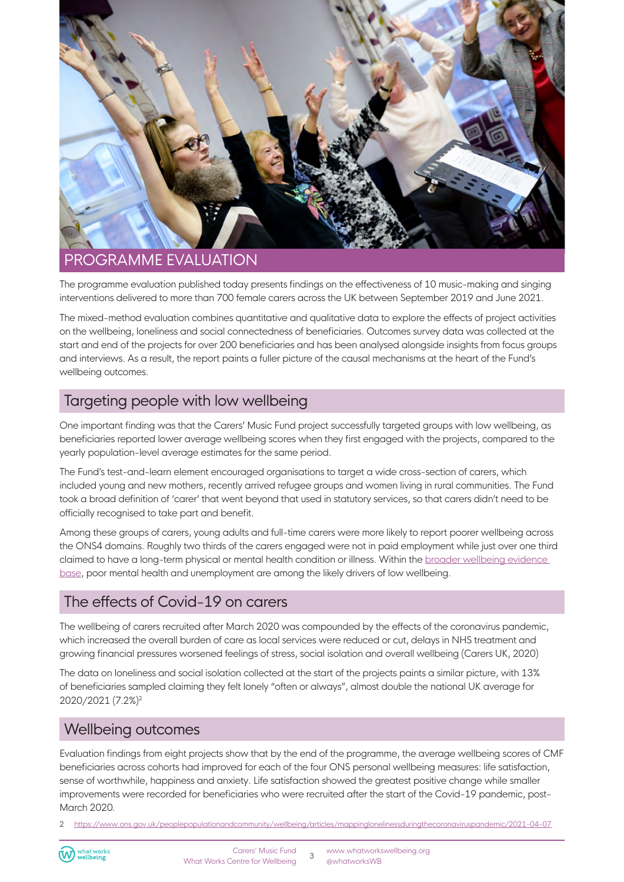

## PROGRAMME EVALUATION

The programme evaluation published today presents findings on the effectiveness of 10 music-making and singing interventions delivered to more than 700 female carers across the UK between September 2019 and June 2021.

The mixed-method evaluation combines quantitative and qualitative data to explore the effects of project activities on the wellbeing, loneliness and social connectedness of beneficiaries. Outcomes survey data was collected at the start and end of the projects for over 200 beneficiaries and has been analysed alongside insights from focus groups and interviews. As a result, the report paints a fuller picture of the causal mechanisms at the heart of the Fund's wellbeing outcomes.

## Targeting people with low wellbeing

One important finding was that the Carers' Music Fund project successfully targeted groups with low wellbeing, as beneficiaries reported lower average wellbeing scores when they first engaged with the projects, compared to the yearly population-level average estimates for the same period.

The Fund's test-and-learn element encouraged organisations to target a wide cross-section of carers, which included young and new mothers, recently arrived refugee groups and women living in rural communities. The Fund took a broad definition of 'carer' that went beyond that used in statutory services, so that carers didn't need to be officially recognised to take part and benefit.

Among these groups of carers, young adults and full-time carers were more likely to report poorer wellbeing across the ONS4 domains. Roughly two thirds of the carers engaged were not in paid employment while just over one third claimed to have a long-term physical or mental health condition or illness. Within the [broader wellbeing evidence](https://whatworkswellbeing.org/wp-content/uploads/2020/02/WEHP-full-report-Feb2020_.pdf)  [base](https://whatworkswellbeing.org/wp-content/uploads/2020/02/WEHP-full-report-Feb2020_.pdf), poor mental health and unemployment are among the likely drivers of low wellbeing.

# The effects of Covid-19 on carers

The wellbeing of carers recruited after March 2020 was compounded by the effects of the coronavirus pandemic, which increased the overall burden of care as local services were reduced or cut, delays in NHS treatment and growing financial pressures worsened feelings of stress, social isolation and overall wellbeing (Carers UK, 2020)

The data on loneliness and social isolation collected at the start of the projects paints a similar picture, with 13% of beneficiaries sampled claiming they felt lonely "often or always", almost double the national UK average for 2020/2021 (7.2%)2

### Wellbeing outcomes

Evaluation findings from eight projects show that by the end of the programme, the average wellbeing scores of CMF beneficiaries across cohorts had improved for each of the four ONS personal wellbeing measures: life satisfaction, sense of worthwhile, happiness and anxiety. Life satisfaction showed the greatest positive change while smaller improvements were recorded for beneficiaries who were recruited after the start of the Covid-19 pandemic, post-March 2020.

2 <https://www.ons.gov.uk/peoplepopulationandcommunity/wellbeing/articles/mappinglonelinessduringthecoronaviruspandemic/2021-04-07>

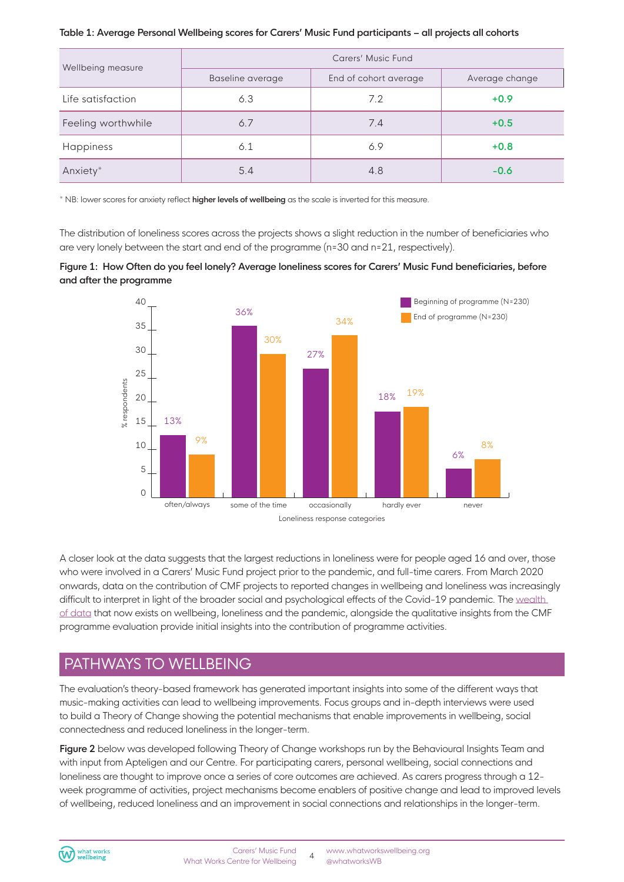### **Table 1: Average Personal Wellbeing scores for Carers' Music Fund participants – all projects all cohorts**

| Wellbeing measure  | Carers' Music Fund |                       |                |
|--------------------|--------------------|-----------------------|----------------|
|                    | Baseline average   | End of cohort average | Average change |
| Life satisfaction  | 6.3                | 7.2                   | $+0.9$         |
| Feeling worthwhile | 6.7                | 7.4                   | $+0.5$         |
| Happiness          | 6.1                | 6.9                   | $+0.8$         |
| Anxiety*           | 5.4                | 4.8                   | $-0.6$         |

\* NB: lower scores for anxiety reflect **higher levels of wellbeing** as the scale is inverted for this measure.

The distribution of loneliness scores across the projects shows a slight reduction in the number of beneficiaries who are very lonely between the start and end of the programme (n=30 and n=21, respectively).





A closer look at the data suggests that the largest reductions in loneliness were for people aged 16 and over, those who were involved in a Carers' Music Fund project prior to the pandemic, and full-time carers. From March 2020 onwards, data on the contribution of CMF projects to reported changes in wellbeing and loneliness was increasingly difficult to interpret in light of the broader social and psychological effects of the Covid-19 pandemic. The [wealth](https://whatworkswellbeing.org/category/covid/)  [of data](https://whatworkswellbeing.org/category/covid/) that now exists on wellbeing, loneliness and the pandemic, alongside the qualitative insights from the CMF programme evaluation provide initial insights into the contribution of programme activities.

# PATHWAYS TO WELLBEING

The evaluation's theory-based framework has generated important insights into some of the different ways that music-making activities can lead to wellbeing improvements. Focus groups and in-depth interviews were used to build a Theory of Change showing the potential mechanisms that enable improvements in wellbeing, social connectedness and reduced loneliness in the longer-term.

**Figure 2** below was developed following Theory of Change workshops run by the Behavioural Insights Team and with input from Apteligen and our Centre. For participating carers, personal wellbeing, social connections and loneliness are thought to improve once a series of core outcomes are achieved. As carers progress through a 12 week programme of activities, project mechanisms become enablers of positive change and lead to improved levels of wellbeing, reduced loneliness and an improvement in social connections and relationships in the longer-term.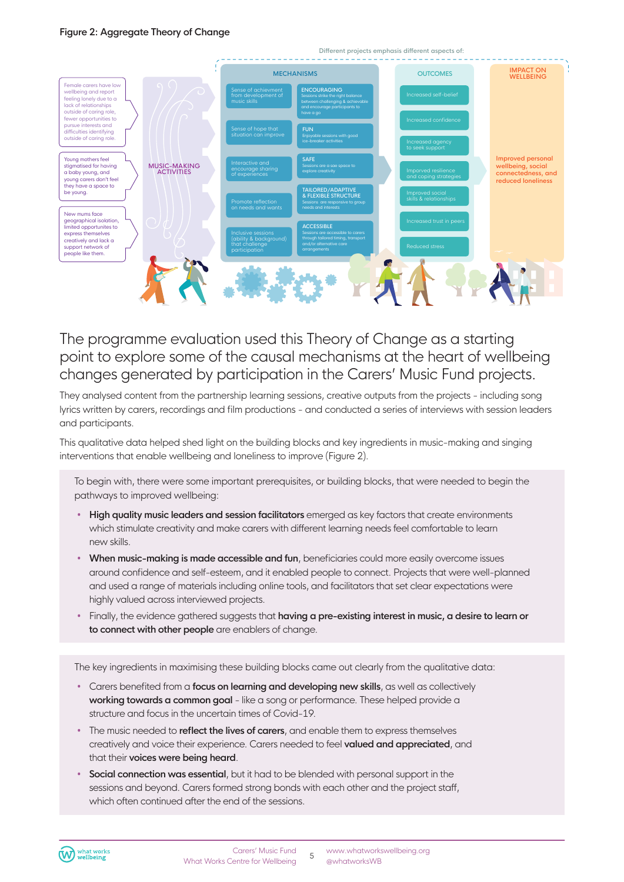### **Figure 2: Aggregate Theory of Change**



The programme evaluation used this Theory of Change as a starting point to explore some of the causal mechanisms at the heart of wellbeing changes generated by participation in the Carers' Music Fund projects.

They analysed content from the partnership learning sessions, creative outputs from the projects - including song lyrics written by carers, recordings and film productions - and conducted a series of interviews with session leaders and participants.

This qualitative data helped shed light on the building blocks and key ingredients in music-making and singing interventions that enable wellbeing and loneliness to improve (Figure 2).

To begin with, there were some important prerequisites, or building blocks, that were needed to begin the pathways to improved wellbeing:

- **High quality music leaders and session facilitators** emerged as key factors that create environments which stimulate creativity and make carers with different learning needs feel comfortable to learn new skills.
- **When music-making is made accessible and fun**, beneficiaries could more easily overcome issues around confidence and self-esteem, and it enabled people to connect. Projects that were well-planned and used a range of materials including online tools, and facilitators that set clear expectations were highly valued across interviewed projects.
- Finally, the evidence gathered suggests that **having a pre-existing interest in music, a desire to learn or to connect with other people** are enablers of change.

The key ingredients in maximising these building blocks came out clearly from the qualitative data:

- Carers benefited from a **focus on learning and developing new skills**, as well as collectively **working towards a common goal** - like a song or performance. These helped provide a structure and focus in the uncertain times of Covid-19.
- The music needed to **reflect the lives of carers**, and enable them to express themselves creatively and voice their experience. Carers needed to feel **valued and appreciated**, and that their **voices were being heard**.
- **Social connection was essential**, but it had to be blended with personal support in the sessions and beyond. Carers formed strong bonds with each other and the project staff, which often continued after the end of the sessions.